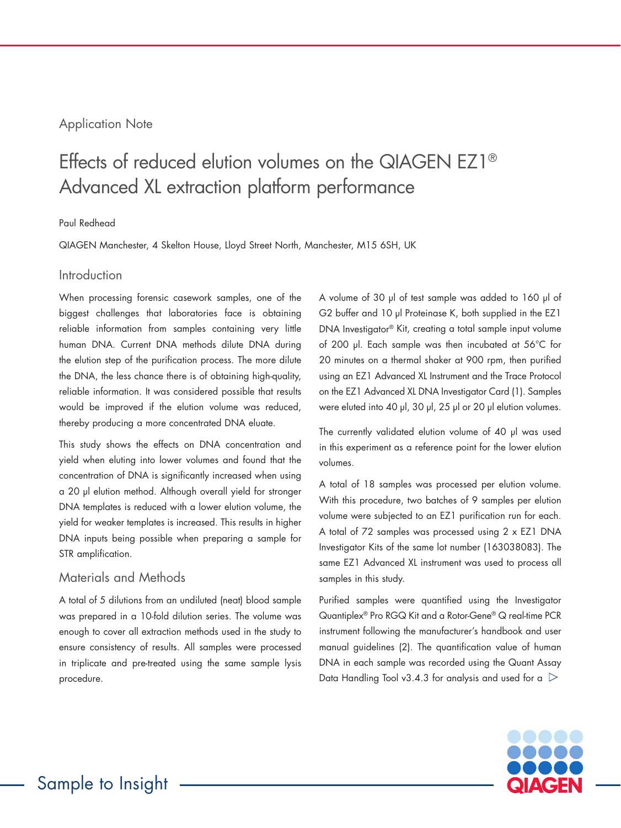## Application Note

# Effects of reduced elution volumes on the QIAGEN EZ1® Advanced XL extraction platform performance

#### Paul Redhead

QIAGEN Manchester, 4 Skelton House, Lloyd Street North, Manchester, M15 6SH, UK

#### Introduction

When processing forensic casework samples, one of the biggest challenges that laboratories face is obtaining reliable information from samples containing very little human DNA. Current DNA methods dilute DNA during the elution step of the purification process. The more dilute the DNA, the less chance there is of obtaining high-quality, reliable information. It was considered possible that results would be improved if the elution volume was reduced, thereby producing a more concentrated DNA eluate.

This study shows the effects on DNA concentration and yield when eluting into lower volumes and found that the concentration of DNA is significantly increased when using a 20 µl elution method. Although overall yield for stronger DNA templates is reduced with a lower elution volume, the yield for weaker templates is increased. This results in higher DNA inputs being possible when preparing a sample for STR amplification.

### Materials and Methods

A total of 5 dilutions from an undiluted (neat) blood sample was prepared in a 10-fold dilution series. The volume was enough to cover all extraction methods used in the study to ensure consistency of results. All samples were processed in triplicate and pre-treated using the same sample lysis procedure.

A volume of 30 µl of test sample was added to 160 µl of G2 buffer and 10 µl Proteinase K, both supplied in the EZ1 DNA Investigator® Kit, creating a total sample input volume of 200 µl. Each sample was then incubated at 56°C for 20 minutes on a thermal shaker at 900 rpm, then purified using an EZ1 Advanced XL Instrument and the Trace Protocol on the EZ1 Advanced XL DNA Investigator Card (1). Samples were eluted into 40 µl, 30 µl, 25 µl or 20 µl elution volumes.

The currently validated elution volume of 40 µl was used in this experiment as a reference point for the lower elution volumes.

A total of 18 samples was processed per elution volume. With this procedure, two batches of 9 samples per elution volume were subjected to an EZ1 purification run for each. A total of 72 samples was processed using 2 x EZ1 DNA Investigator Kits of the same lot number (163038083). The same EZ1 Advanced XL instrument was used to process all samples in this study.

Purified samples were quantified using the Investigator Quantiplex® Pro RGQ Kit and a Rotor-Gene® Q real-time PCR instrument following the manufacturer's handbook and user manual guidelines (2). The quantification value of human DNA in each sample was recorded using the Quant Assay Data Handling Tool v3.4.3 for analysis and used for a  $\triangleright$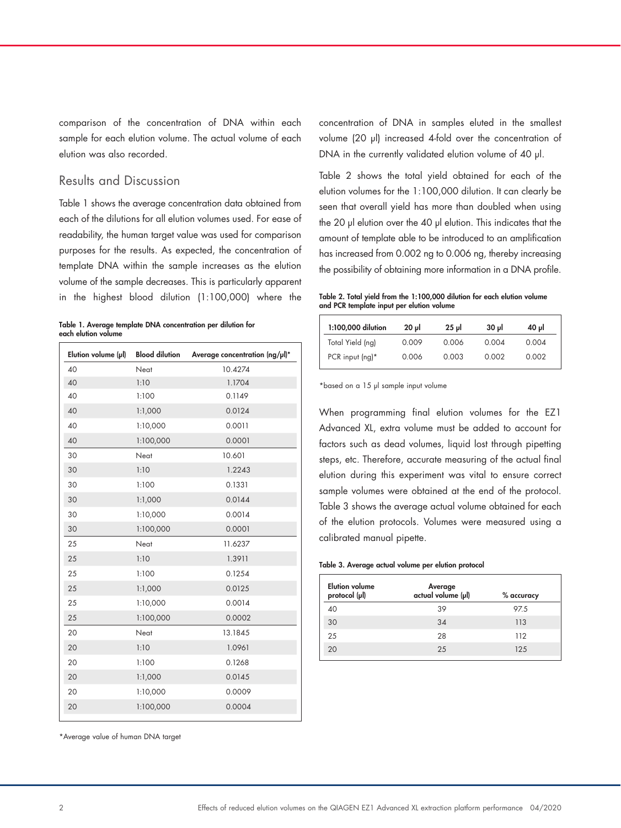comparison of the concentration of DNA within each sample for each elution volume. The actual volume of each elution was also recorded.

### Results and Discussion

Table 1 shows the average concentration data obtained from each of the dilutions for all elution volumes used. For ease of readability, the human target value was used for comparison purposes for the results. As expected, the concentration of template DNA within the sample increases as the elution volume of the sample decreases. This is particularly apparent in the highest blood dilution (1:100,000) where the

|  |                     |  | Table 1. Average template DNA concentration per dilution for |  |  |
|--|---------------------|--|--------------------------------------------------------------|--|--|
|  | each elution volume |  |                                                              |  |  |

| Elution volume (µl) | <b>Blood dilution</b> | Average concentration (ng/µl)* |
|---------------------|-----------------------|--------------------------------|
| 40                  | Neat                  | 10.4274                        |
| 40                  | 1:10                  | 1.1704                         |
| 40                  | 1:100                 | 0.1149                         |
| 40                  | 1:1,000               | 0.0124                         |
| 40                  | 1:10,000              | 0.0011                         |
| 40                  | 1:100,000             | 0.0001                         |
| 30                  | Neat                  | 10.601                         |
| 30                  | 1:10                  | 1.2243                         |
| 30                  | 1:100                 | 0.1331                         |
| 30                  | 1:1,000               | 0.0144                         |
| 30                  | 1:10,000              | 0.0014                         |
| 30                  | 1:100,000             | 0.0001                         |
| 25                  | Neat                  | 11.6237                        |
| 25                  | 1:10                  | 1.3911                         |
| 25                  | 1:100                 | 0.1254                         |
| 25                  | 1:1,000               | 0.0125                         |
| 25                  | 1:10,000              | 0.0014                         |
| 25                  | 1:100,000             | 0.0002                         |
| 20                  | Neat                  | 13.1845                        |
| 20                  | 1:10                  | 1.0961                         |
| 20                  | 1:100                 | 0.1268                         |
| 20                  | 1:1,000               | 0.0145                         |
| 20                  | 1:10,000              | 0.0009                         |
| 20                  | 1:100,000             | 0.0004                         |
|                     |                       |                                |

\*Average value of human DNA target

concentration of DNA in samples eluted in the smallest volume (20 µl) increased 4-fold over the concentration of DNA in the currently validated elution volume of 40 µl.

Table 2 shows the total yield obtained for each of the elution volumes for the 1:100,000 dilution. It can clearly be seen that overall yield has more than doubled when using the 20 µl elution over the 40 µl elution. This indicates that the amount of template able to be introduced to an amplification has increased from 0.002 ng to 0.006 ng, thereby increasing the possibility of obtaining more information in a DNA profile.

Table 2. Total yield from the 1:100,000 dilution for each elution volume and PCR template input per elution volume

| 1:100,000 dilution | $20 \mu$ | $25 \mu$ | $30 \mu$ | 40 µl |
|--------------------|----------|----------|----------|-------|
| Total Yield (ng)   | 0.009    | 0.006    | 0.004    | 0.004 |
| PCR input $(nq)^*$ | 0.006    | 0.003    | 0.002    | 0.002 |

\*based on a 15 µl sample input volume

When programming final elution volumes for the EZ1 Advanced XL, extra volume must be added to account for factors such as dead volumes, liquid lost through pipetting steps, etc. Therefore, accurate measuring of the actual final elution during this experiment was vital to ensure correct sample volumes were obtained at the end of the protocol. Table 3 shows the average actual volume obtained for each of the elution protocols. Volumes were measured using a calibrated manual pipette.

#### Table 3. Average actual volume per elution protocol

| <b>Elution volume</b><br>protocol (µl) | Average<br>actual volume (µl) | % accuracy |
|----------------------------------------|-------------------------------|------------|
| 40                                     | 39                            | 97.5       |
| 30                                     | 34                            | 113        |
| 25                                     | 28                            | 112        |
| 20                                     | 25                            | 12.5       |
|                                        |                               |            |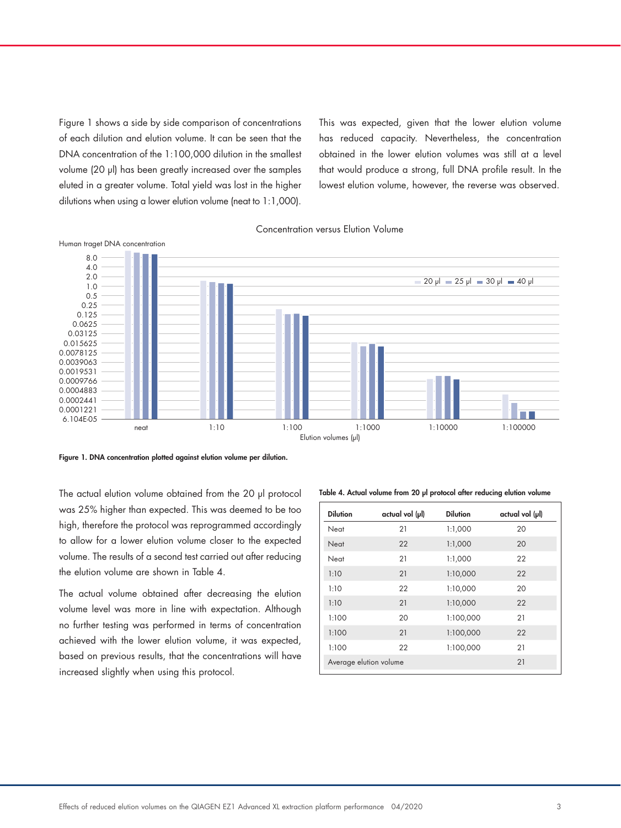Figure 1 shows a side by side comparison of concentrations of each dilution and elution volume. It can be seen that the DNA concentration of the 1:100,000 dilution in the smallest volume (20 µl) has been greatly increased over the samples eluted in a greater volume. Total yield was lost in the higher dilutions when using a lower elution volume (neat to 1:1,000).

This was expected, given that the lower elution volume has reduced capacity. Nevertheless, the concentration obtained in the lower elution volumes was still at a level that would produce a strong, full DNA profile result. In the lowest elution volume, however, the reverse was observed.

Concentration versus Elution Volume



Figure 1. DNA concentration plotted against elution volume per dilution.

The actual elution volume obtained from the 20 µl protocol was 25% higher than expected. This was deemed to be too high, therefore the protocol was reprogrammed accordingly to allow for a lower elution volume closer to the expected volume. The results of a second test carried out after reducing the elution volume are shown in Table 4.

The actual volume obtained after decreasing the elution volume level was more in line with expectation. Although no further testing was performed in terms of concentration achieved with the lower elution volume, it was expected, based on previous results, that the concentrations will have increased slightly when using this protocol.

Table 4. Actual volume from 20 µl protocol after reducing elution volume

| <b>Dilution</b>        | $actual vol (\mu)$ | <b>Dilution</b> | actual vol (µl) |
|------------------------|--------------------|-----------------|-----------------|
| Neat                   | 21                 | 1:1,000         | 20              |
| Neat                   | 22                 | 1:1,000         | 20              |
| Neat                   | 21                 | 1:1,000         | 22              |
| 1:10                   | 21                 | 1:10,000        | 22              |
| 1:10                   | 22                 | 1:10,000        | 20              |
| 1:10                   | 21                 | 1:10,000        | 22              |
| 1:100                  | 20                 | 1:100,000       | 21              |
| 1:100                  | 21                 | 1:100,000       | 22              |
| 1:100                  | 22                 | 1:100,000       | 21              |
| Average elution volume |                    |                 | 21              |